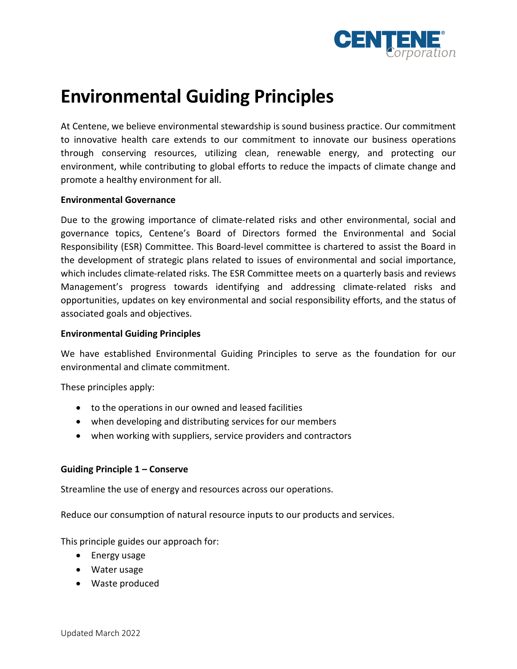

# **Environmental Guiding Principles**

At Centene, we believe environmental stewardship is sound business practice. Our commitment to innovative health care extends to our commitment to innovate our business operations through conserving resources, utilizing clean, renewable energy, and protecting our environment, while contributing to global efforts to reduce the impacts of climate change and promote a healthy environment for all.

#### **Environmental Governance**

Due to the growing importance of climate-related risks and other environmental, social and governance topics, Centene's Board of Directors formed the Environmental and Social Responsibility (ESR) Committee. This Board-level committee is chartered to assist the Board in the development of strategic plans related to issues of environmental and social importance, which includes climate-related risks. The ESR Committee meets on a quarterly basis and reviews Management's progress towards identifying and addressing climate-related risks and opportunities, updates on key environmental and social responsibility efforts, and the status of associated goals and objectives.

#### **Environmental Guiding Principles**

We have established Environmental Guiding Principles to serve as the foundation for our environmental and climate commitment.

These principles apply:

- to the operations in our owned and leased facilities
- when developing and distributing services for our members
- when working with suppliers, service providers and contractors

## **Guiding Principle 1 – Conserve**

Streamline the use of energy and resources across our operations.

Reduce our consumption of natural resource inputs to our products and services.

This principle guides our approach for:

- Energy usage
- Water usage
- Waste produced